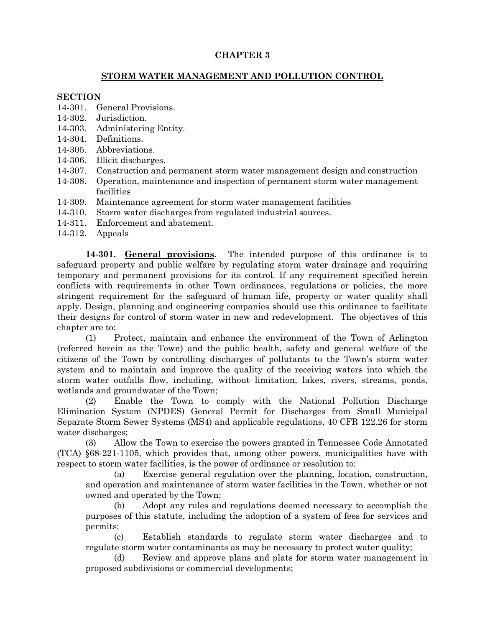# **CHAPTER 3**

## **STORM WATER MANAGEMENT AND POLLUTION CONTROL**

### **SECTION**

- 14-301. General Provisions.
- 14-302. Jurisdiction.
- 14-303. Administering Entity.
- 14-304. Definitions.
- 14-305. Abbreviations.
- 14-306. Illicit discharges.
- 14-307. Construction and permanent storm water management design and construction
- 14-308. Operation, maintenance and inspection of permanent storm water management facilities
- 14-309. Maintenance agreement for storm water management facilities
- 14-310. Storm water discharges from regulated industrial sources.
- 14-311. Enforcement and abatement.
- 14-312. Appeals

**14-301. General provisions.** The intended purpose of this ordinance is to safeguard property and public welfare by regulating storm water drainage and requiring temporary and permanent provisions for its control. If any requirement specified herein conflicts with requirements in other Town ordinances, regulations or policies, the more stringent requirement for the safeguard of human life, property or water quality shall apply. Design, planning and engineering companies should use this ordinance to facilitate their designs for control of storm water in new and redevelopment. The objectives of this chapter are to:

(1) Protect, maintain and enhance the environment of the Town of Arlington (referred herein as the Town) and the public health, safety and general welfare of the citizens of the Town by controlling discharges of pollutants to the Town's storm water system and to maintain and improve the quality of the receiving waters into which the storm water outfalls flow, including, without limitation, lakes, rivers, streams, ponds, wetlands and groundwater of the Town;

(2) Enable the Town to comply with the National Pollution Discharge Elimination System (NPDES) General Permit for Discharges from Small Municipal Separate Storm Sewer Systems (MS4) and applicable regulations, 40 CFR 122.26 for storm water discharges;

(3) Allow the Town to exercise the powers granted in Tennessee Code Annotated (TCA) §68-221-1105, which provides that, among other powers, municipalities have with respect to storm water facilities, is the power of ordinance or resolution to:

(a) Exercise general regulation over the planning, location, construction, and operation and maintenance of storm water facilities in the Town, whether or not owned and operated by the Town;

(b) Adopt any rules and regulations deemed necessary to accomplish the purposes of this statute, including the adoption of a system of fees for services and permits;

(c) Establish standards to regulate storm water discharges and to regulate storm water contaminants as may be necessary to protect water quality;

(d) Review and approve plans and plats for storm water management in proposed subdivisions or commercial developments;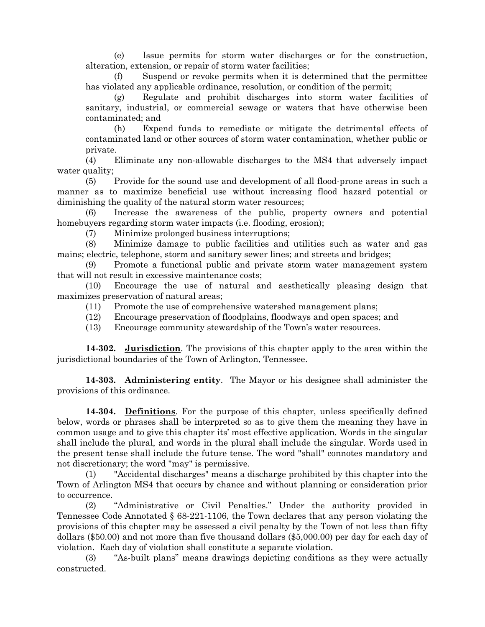(e) Issue permits for storm water discharges or for the construction, alteration, extension, or repair of storm water facilities;

(f) Suspend or revoke permits when it is determined that the permittee has violated any applicable ordinance, resolution, or condition of the permit;

(g) Regulate and prohibit discharges into storm water facilities of sanitary, industrial, or commercial sewage or waters that have otherwise been contaminated; and

(h) Expend funds to remediate or mitigate the detrimental effects of contaminated land or other sources of storm water contamination, whether public or private.

(4) Eliminate any non-allowable discharges to the MS4 that adversely impact water quality;

(5) Provide for the sound use and development of all flood-prone areas in such a manner as to maximize beneficial use without increasing flood hazard potential or diminishing the quality of the natural storm water resources;

Increase the awareness of the public, property owners and potential homebuyers regarding storm water impacts (i.e. flooding, erosion);

(7) Minimize prolonged business interruptions;

(8) Minimize damage to public facilities and utilities such as water and gas mains; electric, telephone, storm and sanitary sewer lines; and streets and bridges;

(9) Promote a functional public and private storm water management system that will not result in excessive maintenance costs;

(10) Encourage the use of natural and aesthetically pleasing design that maximizes preservation of natural areas;

- (11) Promote the use of comprehensive watershed management plans;
- (12) Encourage preservation of floodplains, floodways and open spaces; and
- (13) Encourage community stewardship of the Town's water resources.

**14-302. Jurisdiction**. The provisions of this chapter apply to the area within the jurisdictional boundaries of the Town of Arlington, Tennessee.

**14-303. Administering entity**. The Mayor or his designee shall administer the provisions of this ordinance.

**14-304. Definitions**. For the purpose of this chapter, unless specifically defined below, words or phrases shall be interpreted so as to give them the meaning they have in common usage and to give this chapter its' most effective application. Words in the singular shall include the plural, and words in the plural shall include the singular. Words used in the present tense shall include the future tense. The word "shall" connotes mandatory and not discretionary; the word "may" is permissive.

(1) "Accidental discharges" means a discharge prohibited by this chapter into the Town of Arlington MS4 that occurs by chance and without planning or consideration prior to occurrence.

(2) "Administrative or Civil Penalties." Under the authority provided in Tennessee Code Annotated § 68-221-1106, the Town declares that any person violating the provisions of this chapter may be assessed a civil penalty by the Town of not less than fifty dollars (\$50.00) and not more than five thousand dollars (\$5,000.00) per day for each day of violation. Each day of violation shall constitute a separate violation.

(3) "As-built plans" means drawings depicting conditions as they were actually constructed.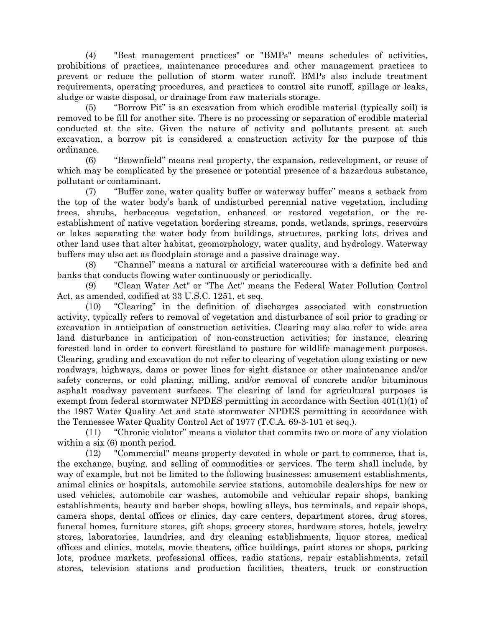(4) "Best management practices" or "BMPs" means schedules of activities, prohibitions of practices, maintenance procedures and other management practices to prevent or reduce the pollution of storm water runoff. BMPs also include treatment requirements, operating procedures, and practices to control site runoff, spillage or leaks, sludge or waste disposal, or drainage from raw materials storage.

(5) "Borrow Pit" is an excavation from which erodible material (typically soil) is removed to be fill for another site. There is no processing or separation of erodible material conducted at the site. Given the nature of activity and pollutants present at such excavation, a borrow pit is considered a construction activity for the purpose of this ordinance.

(6) "Brownfield" means real property, the expansion, redevelopment, or reuse of which may be complicated by the presence or potential presence of a hazardous substance, pollutant or contaminant.

(7) "Buffer zone, water quality buffer or waterway buffer" means a setback from the top of the water body's bank of undisturbed perennial native vegetation, including trees, shrubs, herbaceous vegetation, enhanced or restored vegetation, or the reestablishment of native vegetation bordering streams, ponds, wetlands, springs, reservoirs or lakes separating the water body from buildings, structures, parking lots, drives and other land uses that alter habitat, geomorphology, water quality, and hydrology. Waterway buffers may also act as floodplain storage and a passive drainage way.

(8) "Channel" means a natural or artificial watercourse with a definite bed and banks that conducts flowing water continuously or periodically.

(9) "Clean Water Act" or "The Act" means the Federal Water Pollution Control Act, as amended, codified at 33 U.S.C. 1251, et seq.

(10) "Clearing" in the definition of discharges associated with construction activity, typically refers to removal of vegetation and disturbance of soil prior to grading or excavation in anticipation of construction activities. Clearing may also refer to wide area land disturbance in anticipation of non-construction activities; for instance, clearing forested land in order to convert forestland to pasture for wildlife management purposes. Clearing, grading and excavation do not refer to clearing of vegetation along existing or new roadways, highways, dams or power lines for sight distance or other maintenance and/or safety concerns, or cold planing, milling, and/or removal of concrete and/or bituminous asphalt roadway pavement surfaces. The clearing of land for agricultural purposes is exempt from federal stormwater NPDES permitting in accordance with Section 401(1)(1) of the 1987 Water Quality Act and state stormwater NPDES permitting in accordance with the Tennessee Water Quality Control Act of 1977 (T.C.A. 69-3-101 et seq.).

(11) "Chronic violator" means a violator that commits two or more of any violation within a six  $(6)$  month period.

(12) "Commercial" means property devoted in whole or part to commerce, that is, the exchange, buying, and selling of commodities or services. The term shall include, by way of example, but not be limited to the following businesses: amusement establishments, animal clinics or hospitals, automobile service stations, automobile dealerships for new or used vehicles, automobile car washes, automobile and vehicular repair shops, banking establishments, beauty and barber shops, bowling alleys, bus terminals, and repair shops, camera shops, dental offices or clinics, day care centers, department stores, drug stores, funeral homes, furniture stores, gift shops, grocery stores, hardware stores, hotels, jewelry stores, laboratories, laundries, and dry cleaning establishments, liquor stores, medical offices and clinics, motels, movie theaters, office buildings, paint stores or shops, parking lots, produce markets, professional offices, radio stations, repair establishments, retail stores, television stations and production facilities, theaters, truck or construction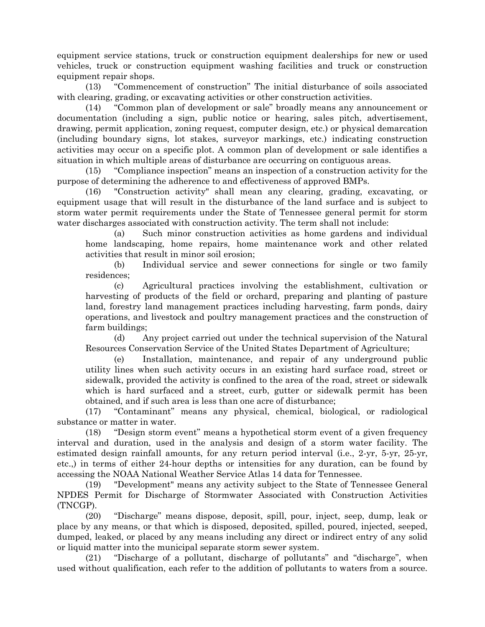equipment service stations, truck or construction equipment dealerships for new or used vehicles, truck or construction equipment washing facilities and truck or construction equipment repair shops.

(13) "Commencement of construction" The initial disturbance of soils associated with clearing, grading, or excavating activities or other construction activities.

(14) "Common plan of development or sale" broadly means any announcement or documentation (including a sign, public notice or hearing, sales pitch, advertisement, drawing, permit application, zoning request, computer design, etc.) or physical demarcation (including boundary signs, lot stakes, surveyor markings, etc.) indicating construction activities may occur on a specific plot. A common plan of development or sale identifies a situation in which multiple areas of disturbance are occurring on contiguous areas.

(15) "Compliance inspection" means an inspection of a construction activity for the purpose of determining the adherence to and effectiveness of approved BMPs.

(16) "Construction activity" shall mean any clearing, grading, excavating, or equipment usage that will result in the disturbance of the land surface and is subject to storm water permit requirements under the State of Tennessee general permit for storm water discharges associated with construction activity. The term shall not include:

(a) Such minor construction activities as home gardens and individual home landscaping, home repairs, home maintenance work and other related activities that result in minor soil erosion;

(b) Individual service and sewer connections for single or two family residences;

(c) Agricultural practices involving the establishment, cultivation or harvesting of products of the field or orchard, preparing and planting of pasture land, forestry land management practices including harvesting, farm ponds, dairy operations, and livestock and poultry management practices and the construction of farm buildings;

(d) Any project carried out under the technical supervision of the Natural Resources Conservation Service of the United States Department of Agriculture;

(e) Installation, maintenance, and repair of any underground public utility lines when such activity occurs in an existing hard surface road, street or sidewalk, provided the activity is confined to the area of the road, street or sidewalk which is hard surfaced and a street, curb, gutter or sidewalk permit has been obtained, and if such area is less than one acre of disturbance;

(17) "Contaminant" means any physical, chemical, biological, or radiological substance or matter in water.

(18) "Design storm event" means a hypothetical storm event of a given frequency interval and duration, used in the analysis and design of a storm water facility. The estimated design rainfall amounts, for any return period interval (i.e., 2-yr, 5-yr, 25-yr, etc.,) in terms of either 24-hour depths or intensities for any duration, can be found by accessing the NOAA National Weather Service Atlas 14 data for Tennessee.

(19) "Development" means any activity subject to the State of Tennessee General NPDES Permit for Discharge of Stormwater Associated with Construction Activities (TNCGP).

(20) "Discharge" means dispose, deposit, spill, pour, inject, seep, dump, leak or place by any means, or that which is disposed, deposited, spilled, poured, injected, seeped, dumped, leaked, or placed by any means including any direct or indirect entry of any solid or liquid matter into the municipal separate storm sewer system.

(21) "Discharge of a pollutant, discharge of pollutants" and "discharge", when used without qualification, each refer to the addition of pollutants to waters from a source.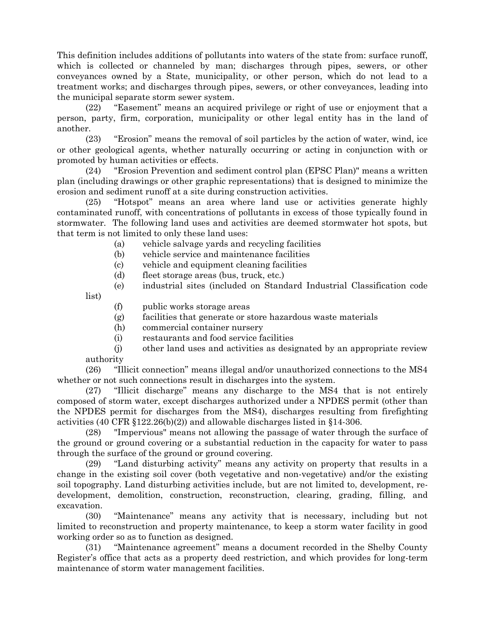This definition includes additions of pollutants into waters of the state from: surface runoff, which is collected or channeled by man; discharges through pipes, sewers, or other conveyances owned by a State, municipality, or other person, which do not lead to a treatment works; and discharges through pipes, sewers, or other conveyances, leading into the municipal separate storm sewer system.

(22) "Easement" means an acquired privilege or right of use or enjoyment that a person, party, firm, corporation, municipality or other legal entity has in the land of another.

(23) "Erosion" means the removal of soil particles by the action of water, wind, ice or other geological agents, whether naturally occurring or acting in conjunction with or promoted by human activities or effects.

(24) "Erosion Prevention and sediment control plan (EPSC Plan)" means a written plan (including drawings or other graphic representations) that is designed to minimize the erosion and sediment runoff at a site during construction activities.

(25) "Hotspot" means an area where land use or activities generate highly contaminated runoff, with concentrations of pollutants in excess of those typically found in stormwater. The following land uses and activities are deemed stormwater hot spots, but that term is not limited to only these land uses:

- (a) vehicle salvage yards and recycling facilities
- (b) vehicle service and maintenance facilities
- (c) vehicle and equipment cleaning facilities
- (d) fleet storage areas (bus, truck, etc.)
- (e) industrial sites (included on Standard Industrial Classification code

list)

- (f) public works storage areas
- (g) facilities that generate or store hazardous waste materials
- (h) commercial container nursery
- (i) restaurants and food service facilities
- (j) other land uses and activities as designated by an appropriate review authority

(26) "Illicit connection" means illegal and/or unauthorized connections to the MS4 whether or not such connections result in discharges into the system.

(27) "Illicit discharge" means any discharge to the MS4 that is not entirely composed of storm water, except discharges authorized under a NPDES permit (other than the NPDES permit for discharges from the MS4), discharges resulting from firefighting activities (40 CFR  $\S 122.26(b)(2)$ ) and allowable discharges listed in  $\S 14-306$ .

(28) "Impervious" means not allowing the passage of water through the surface of the ground or ground covering or a substantial reduction in the capacity for water to pass through the surface of the ground or ground covering.

(29) "Land disturbing activity" means any activity on property that results in a change in the existing soil cover (both vegetative and non-vegetative) and/or the existing soil topography. Land disturbing activities include, but are not limited to, development, redevelopment, demolition, construction, reconstruction, clearing, grading, filling, and excavation.

(30) "Maintenance" means any activity that is necessary, including but not limited to reconstruction and property maintenance, to keep a storm water facility in good working order so as to function as designed.

(31) "Maintenance agreement" means a document recorded in the Shelby County Register's office that acts as a property deed restriction, and which provides for long-term maintenance of storm water management facilities.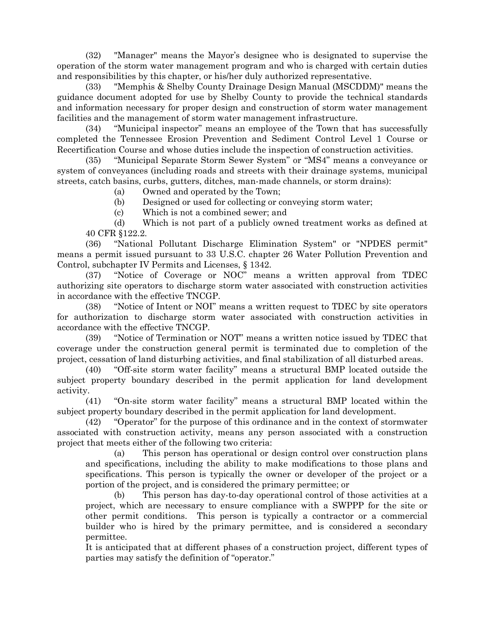(32) "Manager" means the Mayor's designee who is designated to supervise the operation of the storm water management program and who is charged with certain duties and responsibilities by this chapter, or his/her duly authorized representative.

(33) "Memphis & Shelby County Drainage Design Manual (MSCDDM)" means the guidance document adopted for use by Shelby County to provide the technical standards and information necessary for proper design and construction of storm water management facilities and the management of storm water management infrastructure.

(34) "Municipal inspector" means an employee of the Town that has successfully completed the Tennessee Erosion Prevention and Sediment Control Level 1 Course or Recertification Course and whose duties include the inspection of construction activities.

(35) "Municipal Separate Storm Sewer System" or "MS4" means a conveyance or system of conveyances (including roads and streets with their drainage systems, municipal streets, catch basins, curbs, gutters, ditches, man-made channels, or storm drains):

(a) Owned and operated by the Town;

(b) Designed or used for collecting or conveying storm water;

(c) Which is not a combined sewer; and

(d) Which is not part of a publicly owned treatment works as defined at 40 CFR §122.2.

(36) "National Pollutant Discharge Elimination System" or "NPDES permit" means a permit issued pursuant to 33 U.S.C. chapter 26 Water Pollution Prevention and Control, subchapter IV Permits and Licenses, § 1342.

(37) "Notice of Coverage or NOC" means a written approval from TDEC authorizing site operators to discharge storm water associated with construction activities in accordance with the effective TNCGP.

(38) "Notice of Intent or NOI" means a written request to TDEC by site operators for authorization to discharge storm water associated with construction activities in accordance with the effective TNCGP.

(39) "Notice of Termination or NOT" means a written notice issued by TDEC that coverage under the construction general permit is terminated due to completion of the project, cessation of land disturbing activities, and final stabilization of all disturbed areas.

(40) "Off-site storm water facility" means a structural BMP located outside the subject property boundary described in the permit application for land development activity.

(41) "On-site storm water facility" means a structural BMP located within the subject property boundary described in the permit application for land development.

(42) "Operator" for the purpose of this ordinance and in the context of stormwater associated with construction activity, means any person associated with a construction project that meets either of the following two criteria:

(a) This person has operational or design control over construction plans and specifications, including the ability to make modifications to those plans and specifications. This person is typically the owner or developer of the project or a portion of the project, and is considered the primary permittee; or

This person has day-to-day operational control of those activities at a project, which are necessary to ensure compliance with a SWPPP for the site or other permit conditions. This person is typically a contractor or a commercial builder who is hired by the primary permittee, and is considered a secondary permittee.

It is anticipated that at different phases of a construction project, different types of parties may satisfy the definition of "operator."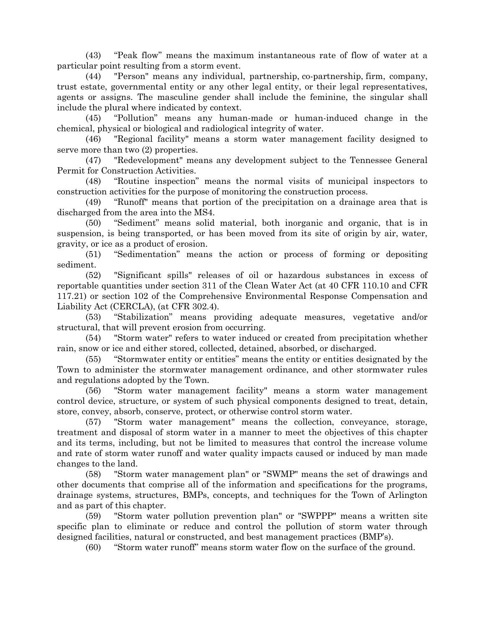(43) "Peak flow" means the maximum instantaneous rate of flow of water at a particular point resulting from a storm event.

(44) "Person" means any individual, partnership, co-partnership, firm, company, trust estate, governmental entity or any other legal entity, or their legal representatives, agents or assigns. The masculine gender shall include the feminine, the singular shall include the plural where indicated by context.

(45) "Pollution" means any human-made or human-induced change in the chemical, physical or biological and radiological integrity of water.

(46) "Regional facility" means a storm water management facility designed to serve more than two (2) properties.

(47) "Redevelopment" means any development subject to the Tennessee General Permit for Construction Activities.

(48) "Routine inspection" means the normal visits of municipal inspectors to construction activities for the purpose of monitoring the construction process.

(49) "Runoff" means that portion of the precipitation on a drainage area that is discharged from the area into the MS4.

(50) "Sediment" means solid material, both inorganic and organic, that is in suspension, is being transported, or has been moved from its site of origin by air, water, gravity, or ice as a product of erosion.

(51) "Sedimentation" means the action or process of forming or depositing sediment.

(52) "Significant spills" releases of oil or hazardous substances in excess of reportable quantities under section 311 of the Clean Water Act (at 40 CFR 110.10 and CFR 117.21) or section 102 of the Comprehensive Environmental Response Compensation and Liability Act (CERCLA), (at CFR 302.4).

(53) "Stabilization" means providing adequate measures, vegetative and/or structural, that will prevent erosion from occurring.

(54) "Storm water" refers to water induced or created from precipitation whether rain, snow or ice and either stored, collected, detained, absorbed, or discharged.

(55) "Stormwater entity or entities" means the entity or entities designated by the Town to administer the stormwater management ordinance, and other stormwater rules and regulations adopted by the Town.

(56) "Storm water management facility" means a storm water management control device, structure, or system of such physical components designed to treat, detain, store, convey, absorb, conserve, protect, or otherwise control storm water.

(57) "Storm water management" means the collection, conveyance, storage, treatment and disposal of storm water in a manner to meet the objectives of this chapter and its terms, including, but not be limited to measures that control the increase volume and rate of storm water runoff and water quality impacts caused or induced by man made changes to the land.

(58) "Storm water management plan" or "SWMP" means the set of drawings and other documents that comprise all of the information and specifications for the programs, drainage systems, structures, BMPs, concepts, and techniques for the Town of Arlington and as part of this chapter.

(59) "Storm water pollution prevention plan" or "SWPPP" means a written site specific plan to eliminate or reduce and control the pollution of storm water through designed facilities, natural or constructed, and best management practices (BMP's).

(60) "Storm water runoff" means storm water flow on the surface of the ground.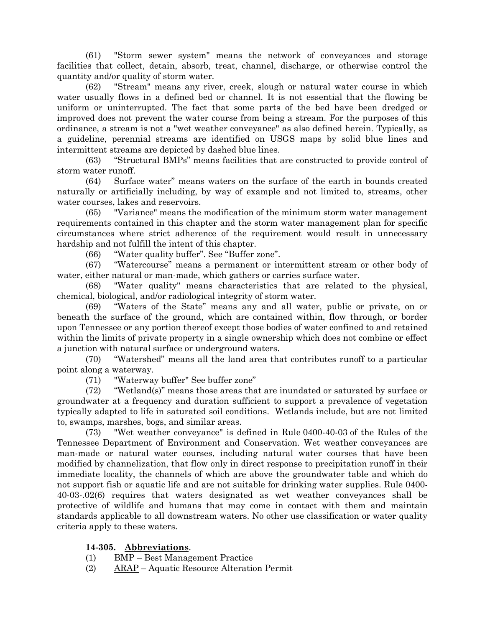(61) "Storm sewer system" means the network of conveyances and storage facilities that collect, detain, absorb, treat, channel, discharge, or otherwise control the quantity and/or quality of storm water.

(62) "Stream" means any river, creek, slough or natural water course in which water usually flows in a defined bed or channel. It is not essential that the flowing be uniform or uninterrupted. The fact that some parts of the bed have been dredged or improved does not prevent the water course from being a stream. For the purposes of this ordinance, a stream is not a "wet weather conveyance" as also defined herein. Typically, as a guideline, perennial streams are identified on USGS maps by solid blue lines and intermittent streams are depicted by dashed blue lines.

(63) "Structural BMPs" means facilities that are constructed to provide control of storm water runoff.

(64) Surface water" means waters on the surface of the earth in bounds created naturally or artificially including, by way of example and not limited to, streams, other water courses, lakes and reservoirs.

(65) "Variance" means the modification of the minimum storm water management requirements contained in this chapter and the storm water management plan for specific circumstances where strict adherence of the requirement would result in unnecessary hardship and not fulfill the intent of this chapter.

(66) "Water quality buffer". See "Buffer zone".

(67) "Watercourse" means a permanent or intermittent stream or other body of water, either natural or man-made, which gathers or carries surface water.

(68) "Water quality" means characteristics that are related to the physical, chemical, biological, and/or radiological integrity of storm water.

(69) "Waters of the State" means any and all water, public or private, on or beneath the surface of the ground, which are contained within, flow through, or border upon Tennessee or any portion thereof except those bodies of water confined to and retained within the limits of private property in a single ownership which does not combine or effect a junction with natural surface or underground waters.

(70) "Watershed" means all the land area that contributes runoff to a particular point along a waterway.

(71) "Waterway buffer" See buffer zone"

(72) "Wetland(s)" means those areas that are inundated or saturated by surface or groundwater at a frequency and duration sufficient to support a prevalence of vegetation typically adapted to life in saturated soil conditions. Wetlands include, but are not limited to, swamps, marshes, bogs, and similar areas.

(73) "Wet weather conveyance" is defined in Rule 0400-40-03 of the Rules of the Tennessee Department of Environment and Conservation. Wet weather conveyances are man-made or natural water courses, including natural water courses that have been modified by channelization, that flow only in direct response to precipitation runoff in their immediate locality, the channels of which are above the groundwater table and which do not support fish or aquatic life and are not suitable for drinking water supplies. Rule 0400- 40-03-.02(6) requires that waters designated as wet weather conveyances shall be protective of wildlife and humans that may come in contact with them and maintain standards applicable to all downstream waters. No other use classification or water quality criteria apply to these waters.

## **14-305. Abbreviations**.

- (1) BMP Best Management Practice
- (2) ARAP Aquatic Resource Alteration Permit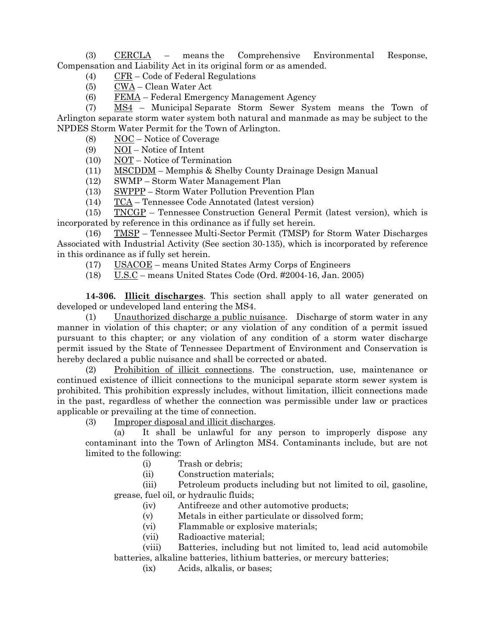(3) CERCLA – means the Comprehensive Environmental Response, Compensation and Liability Act in its original form or as amended.

(4) CFR – Code of Federal Regulations

(5) CWA – Clean Water Act

(6) FEMA – Federal Emergency Management Agency

(7) MS4 – Municipal Separate Storm Sewer System means the Town of Arlington separate storm water system both natural and manmade as may be subject to the NPDES Storm Water Permit for the Town of Arlington.

(8)  $NOC - Notice of Coverage$ 

(9) NOI – Notice of Intent

(10) NOT – Notice of Termination

(11) MSCDDM – Memphis & Shelby County Drainage Design Manual

(12) SWMP – Storm Water Management Plan

(13) SWPPP – Storm Water Pollution Prevention Plan

(14) TCA – Tennessee Code Annotated (latest version)

(15) TNCGP – Tennessee Construction General Permit (latest version), which is incorporated by reference in this ordinance as if fully set herein.

(16) TMSP – Tennessee Multi-Sector Permit (TMSP) for Storm Water Discharges Associated with Industrial Activity (See section 30-135), which is incorporated by reference in this ordinance as if fully set herein.

(17) USACOE – means United States Army Corps of Engineers

(18) U.S.C – means United States Code (Ord. #2004-16, Jan. 2005)

**14-306. Illicit discharges**. This section shall apply to all water generated on developed or undeveloped land entering the MS4.

(1) Unauthorized discharge a public nuisance. Discharge of storm water in any manner in violation of this chapter; or any violation of any condition of a permit issued pursuant to this chapter; or any violation of any condition of a storm water discharge permit issued by the State of Tennessee Department of Environment and Conservation is hereby declared a public nuisance and shall be corrected or abated.

(2) Prohibition of illicit connections. The construction, use, maintenance or continued existence of illicit connections to the municipal separate storm sewer system is prohibited. This prohibition expressly includes, without limitation, illicit connections made in the past, regardless of whether the connection was permissible under law or practices applicable or prevailing at the time of connection.

(3) Improper disposal and illicit discharges.

(a) It shall be unlawful for any person to improperly dispose any contaminant into the Town of Arlington MS4. Contaminants include, but are not limited to the following:

- (i) Trash or debris;
- (ii) Construction materials;

(iii) Petroleum products including but not limited to oil, gasoline, grease, fuel oil, or hydraulic fluids;

- (iv) Antifreeze and other automotive products;
- (v) Metals in either particulate or dissolved form;
- (vi) Flammable or explosive materials;
- (vii) Radioactive material;

(viii) Batteries, including but not limited to, lead acid automobile batteries, alkaline batteries, lithium batteries, or mercury batteries;

(ix) Acids, alkalis, or bases;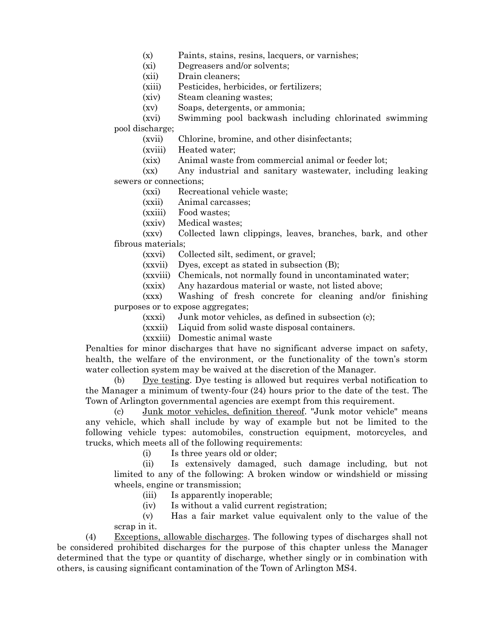- (x) Paints, stains, resins, lacquers, or varnishes;
- (xi) Degreasers and/or solvents;
- (xii) Drain cleaners;
- (xiii) Pesticides, herbicides, or fertilizers;
- (xiv) Steam cleaning wastes;
- (xv) Soaps, detergents, or ammonia;

(xvi) Swimming pool backwash including chlorinated swimming pool discharge;

(xvii) Chlorine, bromine, and other disinfectants;

- (xviii) Heated water;
- (xix) Animal waste from commercial animal or feeder lot;

(xx) Any industrial and sanitary wastewater, including leaking sewers or connections;

- (xxi) Recreational vehicle waste;
- (xxii) Animal carcasses;
- (xxiii) Food wastes;
- (xxiv) Medical wastes;

(xxv) Collected lawn clippings, leaves, branches, bark, and other fibrous materials;

- (xxvi) Collected silt, sediment, or gravel;
- (xxvii) Dyes, except as stated in subsection (B);
- (xxviii) Chemicals, not normally found in uncontaminated water;
- (xxix) Any hazardous material or waste, not listed above;

(xxx) Washing of fresh concrete for cleaning and/or finishing purposes or to expose aggregates;

- (xxxi) Junk motor vehicles, as defined in subsection (c);
- (xxxii) Liquid from solid waste disposal containers.
- (xxxiii) Domestic animal waste

Penalties for minor discharges that have no significant adverse impact on safety, health, the welfare of the environment, or the functionality of the town's storm water collection system may be waived at the discretion of the Manager.

(b) Dye testing. Dye testing is allowed but requires verbal notification to the Manager a minimum of twenty-four (24) hours prior to the date of the test. The Town of Arlington governmental agencies are exempt from this requirement.

(c) Junk motor vehicles, definition thereof. "Junk motor vehicle" means any vehicle, which shall include by way of example but not be limited to the following vehicle types: automobiles, construction equipment, motorcycles, and trucks, which meets all of the following requirements:

(i) Is three years old or older;

(ii) Is extensively damaged, such damage including, but not limited to any of the following: A broken window or windshield or missing wheels, engine or transmission;

(iii) Is apparently inoperable;

(iv) Is without a valid current registration;

(v) Has a fair market value equivalent only to the value of the scrap in it.

(4) Exceptions, allowable discharges. The following types of discharges shall not be considered prohibited discharges for the purpose of this chapter unless the Manager determined that the type or quantity of discharge, whether singly or in combination with others, is causing significant contamination of the Town of Arlington MS4.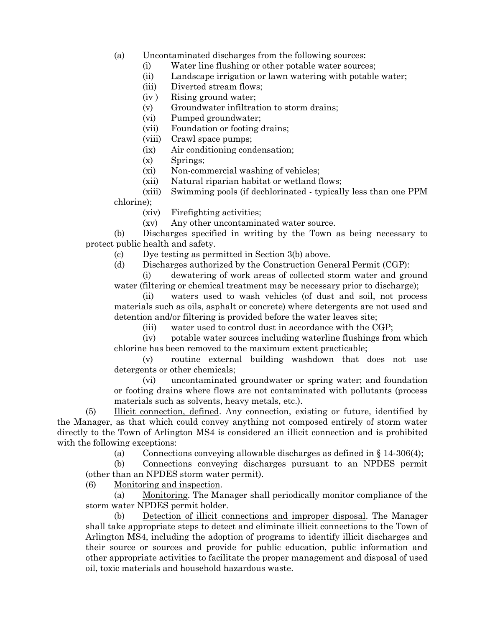- (a) Uncontaminated discharges from the following sources:
	- (i) Water line flushing or other potable water sources;
	- (ii) Landscape irrigation or lawn watering with potable water;
	- (iii) Diverted stream flows;
	- (iv ) Rising ground water;
	- (v) Groundwater infiltration to storm drains;
	- (vi) Pumped groundwater;
	- (vii) Foundation or footing drains;
	- (viii) Crawl space pumps;
	- (ix) Air conditioning condensation;
	- (x) Springs;
	- (xi) Non-commercial washing of vehicles;
	- (xii) Natural riparian habitat or wetland flows;
- (xiii) Swimming pools (if dechlorinated typically less than one PPM chlorine);

(xiv) Firefighting activities;

- (xv) Any other uncontaminated water source.
- (b) Discharges specified in writing by the Town as being necessary to protect public health and safety.
	- (c) Dye testing as permitted in Section 3(b) above.
	- (d) Discharges authorized by the Construction General Permit (CGP):
	- (i) dewatering of work areas of collected storm water and ground water (filtering or chemical treatment may be necessary prior to discharge);
	- (ii) waters used to wash vehicles (of dust and soil, not process materials such as oils, asphalt or concrete) where detergents are not used and detention and/or filtering is provided before the water leaves site;
		- (iii) water used to control dust in accordance with the CGP;
	- (iv) potable water sources including waterline flushings from which chlorine has been removed to the maximum extent practicable;
	- (v) routine external building washdown that does not use detergents or other chemicals;
	- (vi) uncontaminated groundwater or spring water; and foundation or footing drains where flows are not contaminated with pollutants (process materials such as solvents, heavy metals, etc.).

(5) Illicit connection, defined. Any connection, existing or future, identified by the Manager, as that which could convey anything not composed entirely of storm water directly to the Town of Arlington MS4 is considered an illicit connection and is prohibited with the following exceptions:

(a) Connections conveying allowable discharges as defined in  $\S 14-306(4)$ ;

(b) Connections conveying discharges pursuant to an NPDES permit (other than an NPDES storm water permit).

(6) Monitoring and inspection.

(a) Monitoring. The Manager shall periodically monitor compliance of the storm water NPDES permit holder.

(b) Detection of illicit connections and improper disposal. The Manager shall take appropriate steps to detect and eliminate illicit connections to the Town of Arlington MS4, including the adoption of programs to identify illicit discharges and their source or sources and provide for public education, public information and other appropriate activities to facilitate the proper management and disposal of used oil, toxic materials and household hazardous waste.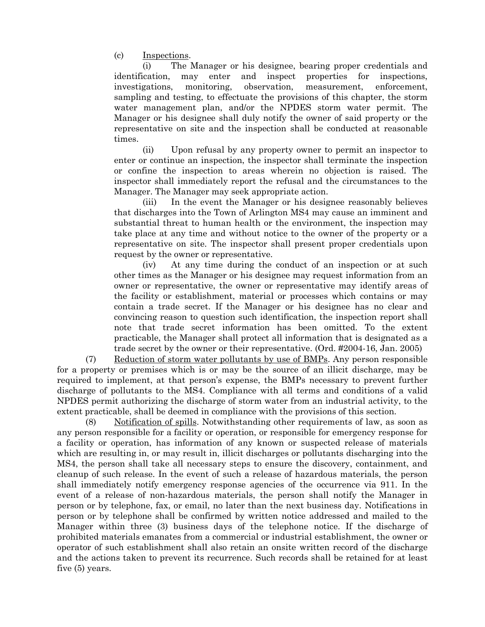(c) Inspections.

(i) The Manager or his designee, bearing proper credentials and identification, may enter and inspect properties for inspections, investigations, monitoring, observation, measurement, enforcement, sampling and testing, to effectuate the provisions of this chapter, the storm water management plan, and/or the NPDES storm water permit. The Manager or his designee shall duly notify the owner of said property or the representative on site and the inspection shall be conducted at reasonable times.

(ii) Upon refusal by any property owner to permit an inspector to enter or continue an inspection, the inspector shall terminate the inspection or confine the inspection to areas wherein no objection is raised. The inspector shall immediately report the refusal and the circumstances to the Manager. The Manager may seek appropriate action.

(iii) In the event the Manager or his designee reasonably believes that discharges into the Town of Arlington MS4 may cause an imminent and substantial threat to human health or the environment, the inspection may take place at any time and without notice to the owner of the property or a representative on site. The inspector shall present proper credentials upon request by the owner or representative.

(iv) At any time during the conduct of an inspection or at such other times as the Manager or his designee may request information from an owner or representative, the owner or representative may identify areas of the facility or establishment, material or processes which contains or may contain a trade secret. If the Manager or his designee has no clear and convincing reason to question such identification, the inspection report shall note that trade secret information has been omitted. To the extent practicable, the Manager shall protect all information that is designated as a trade secret by the owner or their representative. (Ord. #2004-16, Jan. 2005)

(7) Reduction of storm water pollutants by use of BMPs. Any person responsible for a property or premises which is or may be the source of an illicit discharge, may be required to implement, at that person's expense, the BMPs necessary to prevent further discharge of pollutants to the MS4. Compliance with all terms and conditions of a valid NPDES permit authorizing the discharge of storm water from an industrial activity, to the extent practicable, shall be deemed in compliance with the provisions of this section.

(8) Notification of spills. Notwithstanding other requirements of law, as soon as any person responsible for a facility or operation, or responsible for emergency response for a facility or operation, has information of any known or suspected release of materials which are resulting in, or may result in, illicit discharges or pollutants discharging into the MS4, the person shall take all necessary steps to ensure the discovery, containment, and cleanup of such release. In the event of such a release of hazardous materials, the person shall immediately notify emergency response agencies of the occurrence via 911. In the event of a release of non-hazardous materials, the person shall notify the Manager in person or by telephone, fax, or email, no later than the next business day. Notifications in person or by telephone shall be confirmed by written notice addressed and mailed to the Manager within three (3) business days of the telephone notice. If the discharge of prohibited materials emanates from a commercial or industrial establishment, the owner or operator of such establishment shall also retain an onsite written record of the discharge and the actions taken to prevent its recurrence. Such records shall be retained for at least five (5) years.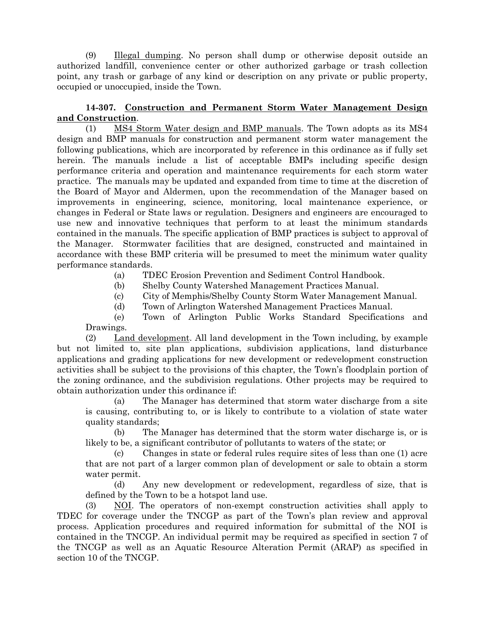(9) Illegal dumping. No person shall dump or otherwise deposit outside an authorized landfill, convenience center or other authorized garbage or trash collection point, any trash or garbage of any kind or description on any private or public property, occupied or unoccupied, inside the Town.

## **14-307. Construction and Permanent Storm Water Management Design and Construction**.

(1) MS4 Storm Water design and BMP manuals. The Town adopts as its MS4 design and BMP manuals for construction and permanent storm water management the following publications, which are incorporated by reference in this ordinance as if fully set herein. The manuals include a list of acceptable BMPs including specific design performance criteria and operation and maintenance requirements for each storm water practice. The manuals may be updated and expanded from time to time at the discretion of the Board of Mayor and Aldermen, upon the recommendation of the Manager based on improvements in engineering, science, monitoring, local maintenance experience, or changes in Federal or State laws or regulation. Designers and engineers are encouraged to use new and innovative techniques that perform to at least the minimum standards contained in the manuals. The specific application of BMP practices is subject to approval of the Manager. Stormwater facilities that are designed, constructed and maintained in accordance with these BMP criteria will be presumed to meet the minimum water quality performance standards.

- (a) TDEC Erosion Prevention and Sediment Control Handbook.
- (b) Shelby County Watershed Management Practices Manual.
- (c) City of Memphis/Shelby County Storm Water Management Manual.
- (d) Town of Arlington Watershed Management Practices Manual.

(e) Town of Arlington Public Works Standard Specifications and Drawings.

(2) Land development. All land development in the Town including, by example but not limited to, site plan applications, subdivision applications, land disturbance applications and grading applications for new development or redevelopment construction activities shall be subject to the provisions of this chapter, the Town's floodplain portion of the zoning ordinance, and the subdivision regulations. Other projects may be required to obtain authorization under this ordinance if:

(a) The Manager has determined that storm water discharge from a site is causing, contributing to, or is likely to contribute to a violation of state water quality standards;

(b) The Manager has determined that the storm water discharge is, or is likely to be, a significant contributor of pollutants to waters of the state; or

(c) Changes in state or federal rules require sites of less than one (1) acre that are not part of a larger common plan of development or sale to obtain a storm water permit.

(d) Any new development or redevelopment, regardless of size, that is defined by the Town to be a hotspot land use.

(3) NOI. The operators of non-exempt construction activities shall apply to TDEC for coverage under the TNCGP as part of the Town's plan review and approval process. Application procedures and required information for submittal of the NOI is contained in the TNCGP. An individual permit may be required as specified in section 7 of the TNCGP as well as an Aquatic Resource Alteration Permit (ARAP) as specified in section 10 of the TNCGP.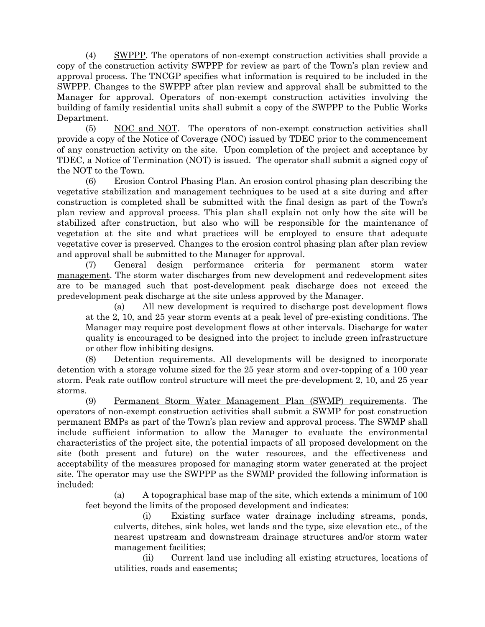(4) SWPPP. The operators of non-exempt construction activities shall provide a copy of the construction activity SWPPP for review as part of the Town's plan review and approval process. The TNCGP specifies what information is required to be included in the SWPPP. Changes to the SWPPP after plan review and approval shall be submitted to the Manager for approval. Operators of non-exempt construction activities involving the building of family residential units shall submit a copy of the SWPPP to the Public Works Department.

(5) NOC and NOT. The operators of non-exempt construction activities shall provide a copy of the Notice of Coverage (NOC) issued by TDEC prior to the commencement of any construction activity on the site. Upon completion of the project and acceptance by TDEC, a Notice of Termination (NOT) is issued. The operator shall submit a signed copy of the NOT to the Town.

(6) Erosion Control Phasing Plan. An erosion control phasing plan describing the vegetative stabilization and management techniques to be used at a site during and after construction is completed shall be submitted with the final design as part of the Town's plan review and approval process. This plan shall explain not only how the site will be stabilized after construction, but also who will be responsible for the maintenance of vegetation at the site and what practices will be employed to ensure that adequate vegetative cover is preserved. Changes to the erosion control phasing plan after plan review and approval shall be submitted to the Manager for approval.

(7) General design performance criteria for permanent storm water management. The storm water discharges from new development and redevelopment sites are to be managed such that post-development peak discharge does not exceed the predevelopment peak discharge at the site unless approved by the Manager.

(a) All new development is required to discharge post development flows at the 2, 10, and 25 year storm events at a peak level of pre-existing conditions. The Manager may require post development flows at other intervals. Discharge for water quality is encouraged to be designed into the project to include green infrastructure or other flow inhibiting designs.

(8) Detention requirements. All developments will be designed to incorporate detention with a storage volume sized for the 25 year storm and over-topping of a 100 year storm. Peak rate outflow control structure will meet the pre-development 2, 10, and 25 year storms.

(9) Permanent Storm Water Management Plan (SWMP) requirements. The operators of non-exempt construction activities shall submit a SWMP for post construction permanent BMPs as part of the Town's plan review and approval process. The SWMP shall include sufficient information to allow the Manager to evaluate the environmental characteristics of the project site, the potential impacts of all proposed development on the site (both present and future) on the water resources, and the effectiveness and acceptability of the measures proposed for managing storm water generated at the project site. The operator may use the SWPPP as the SWMP provided the following information is included:

(a) A topographical base map of the site, which extends a minimum of 100 feet beyond the limits of the proposed development and indicates:

(i) Existing surface water drainage including streams, ponds, culverts, ditches, sink holes, wet lands and the type, size elevation etc., of the nearest upstream and downstream drainage structures and/or storm water management facilities;

(ii) Current land use including all existing structures, locations of utilities, roads and easements;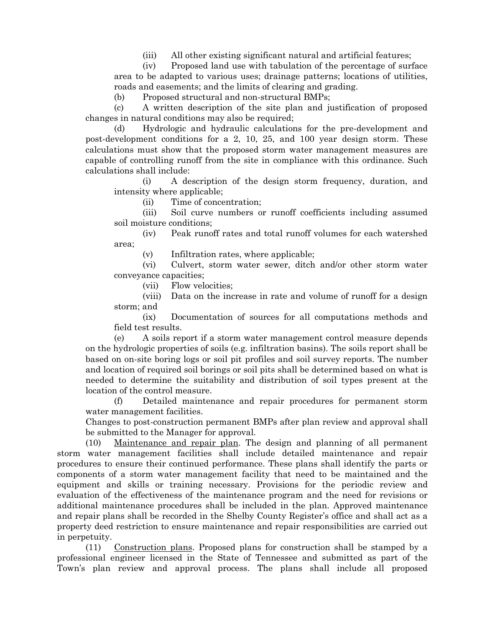(iii) All other existing significant natural and artificial features;

(iv) Proposed land use with tabulation of the percentage of surface area to be adapted to various uses; drainage patterns; locations of utilities, roads and easements; and the limits of clearing and grading.

(b) Proposed structural and non-structural BMPs;

(c) A written description of the site plan and justification of proposed changes in natural conditions may also be required;

(d) Hydrologic and hydraulic calculations for the pre-development and post-development conditions for a 2, 10, 25, and 100 year design storm. These calculations must show that the proposed storm water management measures are capable of controlling runoff from the site in compliance with this ordinance. Such calculations shall include:

(i) A description of the design storm frequency, duration, and intensity where applicable;

(ii) Time of concentration;

(iii) Soil curve numbers or runoff coefficients including assumed soil moisture conditions;

(iv) Peak runoff rates and total runoff volumes for each watershed area;

(v) Infiltration rates, where applicable;

(vi) Culvert, storm water sewer, ditch and/or other storm water conveyance capacities;

(vii) Flow velocities;

(viii) Data on the increase in rate and volume of runoff for a design storm; and

(ix) Documentation of sources for all computations methods and field test results.

(e) A soils report if a storm water management control measure depends on the hydrologic properties of soils (e.g. infiltration basins). The soils report shall be based on on-site boring logs or soil pit profiles and soil survey reports. The number and location of required soil borings or soil pits shall be determined based on what is needed to determine the suitability and distribution of soil types present at the location of the control measure.

(f) Detailed maintenance and repair procedures for permanent storm water management facilities.

Changes to post-construction permanent BMPs after plan review and approval shall be submitted to the Manager for approval.

(10) Maintenance and repair plan. The design and planning of all permanent storm water management facilities shall include detailed maintenance and repair procedures to ensure their continued performance. These plans shall identify the parts or components of a storm water management facility that need to be maintained and the equipment and skills or training necessary. Provisions for the periodic review and evaluation of the effectiveness of the maintenance program and the need for revisions or additional maintenance procedures shall be included in the plan. Approved maintenance and repair plans shall be recorded in the Shelby County Register's office and shall act as a property deed restriction to ensure maintenance and repair responsibilities are carried out in perpetuity.

(11) Construction plans. Proposed plans for construction shall be stamped by a professional engineer licensed in the State of Tennessee and submitted as part of the Town's plan review and approval process. The plans shall include all proposed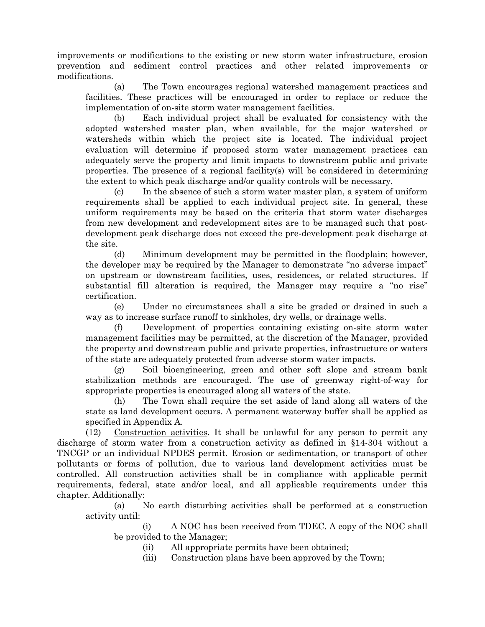improvements or modifications to the existing or new storm water infrastructure, erosion prevention and sediment control practices and other related improvements or modifications.

(a) The Town encourages regional watershed management practices and facilities. These practices will be encouraged in order to replace or reduce the implementation of on-site storm water management facilities.

(b) Each individual project shall be evaluated for consistency with the adopted watershed master plan, when available, for the major watershed or watersheds within which the project site is located. The individual project evaluation will determine if proposed storm water management practices can adequately serve the property and limit impacts to downstream public and private properties. The presence of a regional facility(s) will be considered in determining the extent to which peak discharge and/or quality controls will be necessary.

(c) In the absence of such a storm water master plan, a system of uniform requirements shall be applied to each individual project site. In general, these uniform requirements may be based on the criteria that storm water discharges from new development and redevelopment sites are to be managed such that postdevelopment peak discharge does not exceed the pre-development peak discharge at the site.

(d) Minimum development may be permitted in the floodplain; however, the developer may be required by the Manager to demonstrate "no adverse impact" on upstream or downstream facilities, uses, residences, or related structures. If substantial fill alteration is required, the Manager may require a "no rise" certification.

(e) Under no circumstances shall a site be graded or drained in such a way as to increase surface runoff to sinkholes, dry wells, or drainage wells.

Development of properties containing existing on-site storm water management facilities may be permitted, at the discretion of the Manager, provided the property and downstream public and private properties, infrastructure or waters of the state are adequately protected from adverse storm water impacts.

(g) Soil bioengineering, green and other soft slope and stream bank stabilization methods are encouraged. The use of greenway right-of-way for appropriate properties is encouraged along all waters of the state.

(h) The Town shall require the set aside of land along all waters of the state as land development occurs. A permanent waterway buffer shall be applied as specified in Appendix A.

(12) Construction activities. It shall be unlawful for any person to permit any discharge of storm water from a construction activity as defined in §14-304 without a TNCGP or an individual NPDES permit. Erosion or sedimentation, or transport of other pollutants or forms of pollution, due to various land development activities must be controlled. All construction activities shall be in compliance with applicable permit requirements, federal, state and/or local, and all applicable requirements under this chapter. Additionally:

(a) No earth disturbing activities shall be performed at a construction activity until:

(i) A NOC has been received from TDEC. A copy of the NOC shall be provided to the Manager;

(ii) All appropriate permits have been obtained;

(iii) Construction plans have been approved by the Town;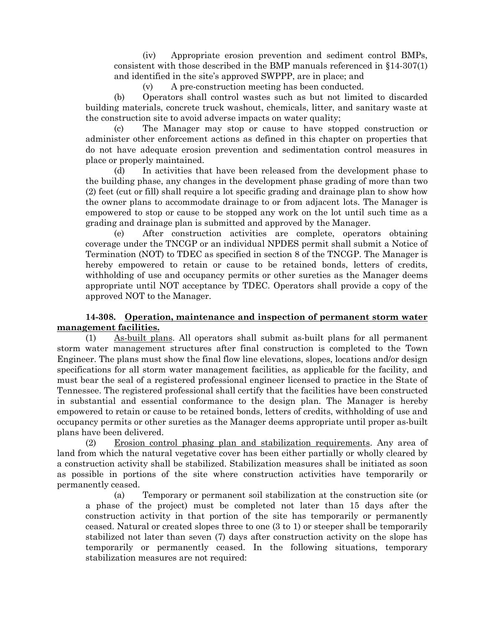(iv) Appropriate erosion prevention and sediment control BMPs, consistent with those described in the BMP manuals referenced in §14-307(1) and identified in the site's approved SWPPP, are in place; and

(v) A pre-construction meeting has been conducted.

(b) Operators shall control wastes such as but not limited to discarded building materials, concrete truck washout, chemicals, litter, and sanitary waste at the construction site to avoid adverse impacts on water quality;

(c) The Manager may stop or cause to have stopped construction or administer other enforcement actions as defined in this chapter on properties that do not have adequate erosion prevention and sedimentation control measures in place or properly maintained.

(d) In activities that have been released from the development phase to the building phase, any changes in the development phase grading of more than two (2) feet (cut or fill) shall require a lot specific grading and drainage plan to show how the owner plans to accommodate drainage to or from adjacent lots. The Manager is empowered to stop or cause to be stopped any work on the lot until such time as a grading and drainage plan is submitted and approved by the Manager.

(e) After construction activities are complete, operators obtaining coverage under the TNCGP or an individual NPDES permit shall submit a Notice of Termination (NOT) to TDEC as specified in section 8 of the TNCGP. The Manager is hereby empowered to retain or cause to be retained bonds, letters of credits, withholding of use and occupancy permits or other sureties as the Manager deems appropriate until NOT acceptance by TDEC. Operators shall provide a copy of the approved NOT to the Manager.

## **14-308. Operation, maintenance and inspection of permanent storm water management facilities.**

(1) As-built plans. All operators shall submit as-built plans for all permanent storm water management structures after final construction is completed to the Town Engineer. The plans must show the final flow line elevations, slopes, locations and/or design specifications for all storm water management facilities, as applicable for the facility, and must bear the seal of a registered professional engineer licensed to practice in the State of Tennessee. The registered professional shall certify that the facilities have been constructed in substantial and essential conformance to the design plan. The Manager is hereby empowered to retain or cause to be retained bonds, letters of credits, withholding of use and occupancy permits or other sureties as the Manager deems appropriate until proper as-built plans have been delivered.

(2) Erosion control phasing plan and stabilization requirements. Any area of land from which the natural vegetative cover has been either partially or wholly cleared by a construction activity shall be stabilized. Stabilization measures shall be initiated as soon as possible in portions of the site where construction activities have temporarily or permanently ceased.

(a) Temporary or permanent soil stabilization at the construction site (or a phase of the project) must be completed not later than 15 days after the construction activity in that portion of the site has temporarily or permanently ceased. Natural or created slopes three to one (3 to 1) or steeper shall be temporarily stabilized not later than seven (7) days after construction activity on the slope has temporarily or permanently ceased. In the following situations, temporary stabilization measures are not required: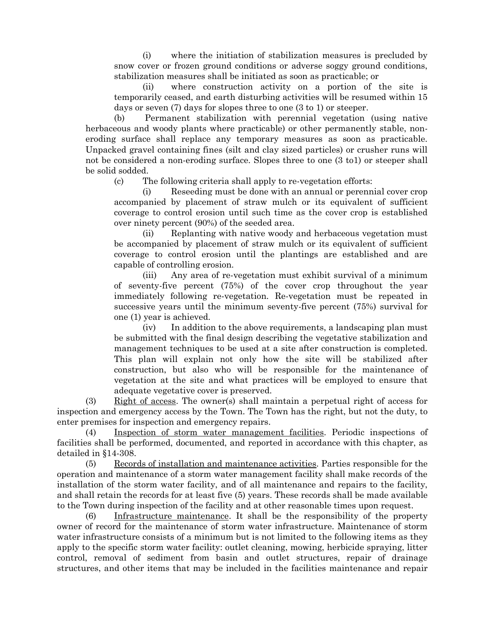(i) where the initiation of stabilization measures is precluded by snow cover or frozen ground conditions or adverse soggy ground conditions, stabilization measures shall be initiated as soon as practicable; or

(ii) where construction activity on a portion of the site is temporarily ceased, and earth disturbing activities will be resumed within 15 days or seven (7) days for slopes three to one (3 to 1) or steeper.

(b) Permanent stabilization with perennial vegetation (using native herbaceous and woody plants where practicable) or other permanently stable, noneroding surface shall replace any temporary measures as soon as practicable. Unpacked gravel containing fines (silt and clay sized particles) or crusher runs will not be considered a non-eroding surface. Slopes three to one (3 to1) or steeper shall be solid sodded.

(c) The following criteria shall apply to re-vegetation efforts:

(i) Reseeding must be done with an annual or perennial cover crop accompanied by placement of straw mulch or its equivalent of sufficient coverage to control erosion until such time as the cover crop is established over ninety percent (90%) of the seeded area.

(ii) Replanting with native woody and herbaceous vegetation must be accompanied by placement of straw mulch or its equivalent of sufficient coverage to control erosion until the plantings are established and are capable of controlling erosion.

(iii) Any area of re-vegetation must exhibit survival of a minimum of seventy-five percent (75%) of the cover crop throughout the year immediately following re-vegetation. Re-vegetation must be repeated in successive years until the minimum seventy-five percent (75%) survival for one (1) year is achieved.

(iv) In addition to the above requirements, a landscaping plan must be submitted with the final design describing the vegetative stabilization and management techniques to be used at a site after construction is completed. This plan will explain not only how the site will be stabilized after construction, but also who will be responsible for the maintenance of vegetation at the site and what practices will be employed to ensure that adequate vegetative cover is preserved.

(3) Right of access. The owner(s) shall maintain a perpetual right of access for inspection and emergency access by the Town. The Town has the right, but not the duty, to enter premises for inspection and emergency repairs.

(4) Inspection of storm water management facilities. Periodic inspections of facilities shall be performed, documented, and reported in accordance with this chapter, as detailed in §14-308.

(5) Records of installation and maintenance activities. Parties responsible for the operation and maintenance of a storm water management facility shall make records of the installation of the storm water facility, and of all maintenance and repairs to the facility, and shall retain the records for at least five (5) years. These records shall be made available to the Town during inspection of the facility and at other reasonable times upon request.

(6) Infrastructure maintenance. It shall be the responsibility of the property owner of record for the maintenance of storm water infrastructure. Maintenance of storm water infrastructure consists of a minimum but is not limited to the following items as they apply to the specific storm water facility: outlet cleaning, mowing, herbicide spraying, litter control, removal of sediment from basin and outlet structures, repair of drainage structures, and other items that may be included in the facilities maintenance and repair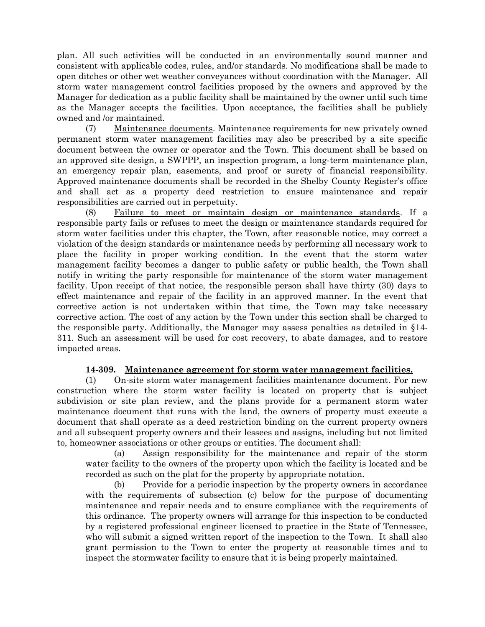plan. All such activities will be conducted in an environmentally sound manner and consistent with applicable codes, rules, and/or standards. No modifications shall be made to open ditches or other wet weather conveyances without coordination with the Manager. All storm water management control facilities proposed by the owners and approved by the Manager for dedication as a public facility shall be maintained by the owner until such time as the Manager accepts the facilities. Upon acceptance, the facilities shall be publicly owned and /or maintained.

(7) Maintenance documents. Maintenance requirements for new privately owned permanent storm water management facilities may also be prescribed by a site specific document between the owner or operator and the Town. This document shall be based on an approved site design, a SWPPP, an inspection program, a long-term maintenance plan, an emergency repair plan, easements, and proof or surety of financial responsibility. Approved maintenance documents shall be recorded in the Shelby County Register's office and shall act as a property deed restriction to ensure maintenance and repair responsibilities are carried out in perpetuity.

(8) Failure to meet or maintain design or maintenance standards. If a responsible party fails or refuses to meet the design or maintenance standards required for storm water facilities under this chapter, the Town, after reasonable notice, may correct a violation of the design standards or maintenance needs by performing all necessary work to place the facility in proper working condition. In the event that the storm water management facility becomes a danger to public safety or public health, the Town shall notify in writing the party responsible for maintenance of the storm water management facility. Upon receipt of that notice, the responsible person shall have thirty (30) days to effect maintenance and repair of the facility in an approved manner. In the event that corrective action is not undertaken within that time, the Town may take necessary corrective action. The cost of any action by the Town under this section shall be charged to the responsible party. Additionally, the Manager may assess penalties as detailed in §14- 311. Such an assessment will be used for cost recovery, to abate damages, and to restore impacted areas.

## **14-309. Maintenance agreement for storm water management facilities.**

(1) On-site storm water management facilities maintenance document. For new construction where the storm water facility is located on property that is subject subdivision or site plan review, and the plans provide for a permanent storm water maintenance document that runs with the land, the owners of property must execute a document that shall operate as a deed restriction binding on the current property owners and all subsequent property owners and their lessees and assigns, including but not limited to, homeowner associations or other groups or entities. The document shall:

(a) Assign responsibility for the maintenance and repair of the storm water facility to the owners of the property upon which the facility is located and be recorded as such on the plat for the property by appropriate notation.

(b) Provide for a periodic inspection by the property owners in accordance with the requirements of subsection (c) below for the purpose of documenting maintenance and repair needs and to ensure compliance with the requirements of this ordinance. The property owners will arrange for this inspection to be conducted by a registered professional engineer licensed to practice in the State of Tennessee, who will submit a signed written report of the inspection to the Town. It shall also grant permission to the Town to enter the property at reasonable times and to inspect the stormwater facility to ensure that it is being properly maintained.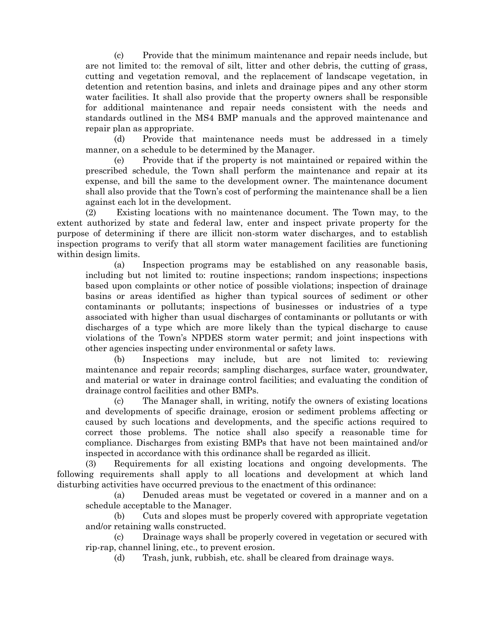(c) Provide that the minimum maintenance and repair needs include, but are not limited to: the removal of silt, litter and other debris, the cutting of grass, cutting and vegetation removal, and the replacement of landscape vegetation, in detention and retention basins, and inlets and drainage pipes and any other storm water facilities. It shall also provide that the property owners shall be responsible for additional maintenance and repair needs consistent with the needs and standards outlined in the MS4 BMP manuals and the approved maintenance and repair plan as appropriate.

(d) Provide that maintenance needs must be addressed in a timely manner, on a schedule to be determined by the Manager.

(e) Provide that if the property is not maintained or repaired within the prescribed schedule, the Town shall perform the maintenance and repair at its expense, and bill the same to the development owner. The maintenance document shall also provide that the Town's cost of performing the maintenance shall be a lien against each lot in the development.

(2) Existing locations with no maintenance document. The Town may, to the extent authorized by state and federal law, enter and inspect private property for the purpose of determining if there are illicit non-storm water discharges, and to establish inspection programs to verify that all storm water management facilities are functioning within design limits.

(a) Inspection programs may be established on any reasonable basis, including but not limited to: routine inspections; random inspections; inspections based upon complaints or other notice of possible violations; inspection of drainage basins or areas identified as higher than typical sources of sediment or other contaminants or pollutants; inspections of businesses or industries of a type associated with higher than usual discharges of contaminants or pollutants or with discharges of a type which are more likely than the typical discharge to cause violations of the Town's NPDES storm water permit; and joint inspections with other agencies inspecting under environmental or safety laws.

(b) Inspections may include, but are not limited to: reviewing maintenance and repair records; sampling discharges, surface water, groundwater, and material or water in drainage control facilities; and evaluating the condition of drainage control facilities and other BMPs.

(c) The Manager shall, in writing, notify the owners of existing locations and developments of specific drainage, erosion or sediment problems affecting or caused by such locations and developments, and the specific actions required to correct those problems. The notice shall also specify a reasonable time for compliance. Discharges from existing BMPs that have not been maintained and/or inspected in accordance with this ordinance shall be regarded as illicit.

(3) Requirements for all existing locations and ongoing developments. The following requirements shall apply to all locations and development at which land disturbing activities have occurred previous to the enactment of this ordinance:

(a) Denuded areas must be vegetated or covered in a manner and on a schedule acceptable to the Manager.

(b) Cuts and slopes must be properly covered with appropriate vegetation and/or retaining walls constructed.

(c) Drainage ways shall be properly covered in vegetation or secured with rip-rap, channel lining, etc., to prevent erosion.

(d) Trash, junk, rubbish, etc. shall be cleared from drainage ways.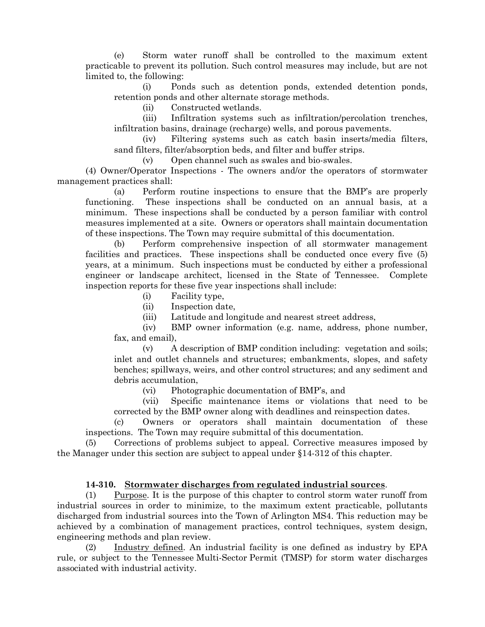(e) Storm water runoff shall be controlled to the maximum extent practicable to prevent its pollution. Such control measures may include, but are not limited to, the following:

(i) Ponds such as detention ponds, extended detention ponds, retention ponds and other alternate storage methods.

(ii) Constructed wetlands.

(iii) Infiltration systems such as infiltration/percolation trenches, infiltration basins, drainage (recharge) wells, and porous pavements.

(iv) Filtering systems such as catch basin inserts/media filters, sand filters, filter/absorption beds, and filter and buffer strips.

(v) Open channel such as swales and bio-swales.

(4) Owner/Operator Inspections - The owners and/or the operators of stormwater management practices shall:

(a) Perform routine inspections to ensure that the BMP's are properly functioning. These inspections shall be conducted on an annual basis, at a minimum. These inspections shall be conducted by a person familiar with control measures implemented at a site. Owners or operators shall maintain documentation of these inspections. The Town may require submittal of this documentation.

(b) Perform comprehensive inspection of all stormwater management facilities and practices. These inspections shall be conducted once every five (5) years, at a minimum. Such inspections must be conducted by either a professional engineer or landscape architect, licensed in the State of Tennessee. Complete inspection reports for these five year inspections shall include:

- (i) Facility type,
- (ii) Inspection date,

(iii) Latitude and longitude and nearest street address,

(iv) BMP owner information (e.g. name, address, phone number, fax, and email),

(v) A description of BMP condition including: vegetation and soils; inlet and outlet channels and structures; embankments, slopes, and safety benches; spillways, weirs, and other control structures; and any sediment and debris accumulation,

(vi) Photographic documentation of BMP's, and

(vii) Specific maintenance items or violations that need to be corrected by the BMP owner along with deadlines and reinspection dates.

(c) Owners or operators shall maintain documentation of these inspections. The Town may require submittal of this documentation.

(5) Corrections of problems subject to appeal. Corrective measures imposed by the Manager under this section are subject to appeal under §14-312 of this chapter.

#### **14-310. Stormwater discharges from regulated industrial sources**.

(1) Purpose. It is the purpose of this chapter to control storm water runoff from industrial sources in order to minimize, to the maximum extent practicable, pollutants discharged from industrial sources into the Town of Arlington MS4. This reduction may be achieved by a combination of management practices, control techniques, system design, engineering methods and plan review.

(2) Industry defined. An industrial facility is one defined as industry by EPA rule, or subject to the Tennessee Multi-Sector Permit (TMSP) for storm water discharges associated with industrial activity.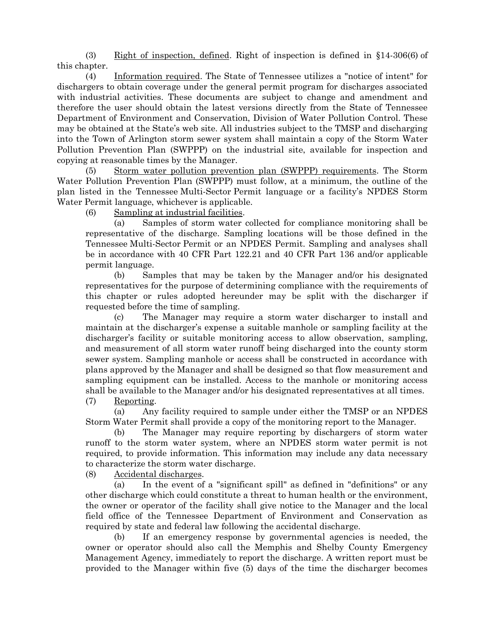(3) Right of inspection, defined. Right of inspection is defined in §14-306(6) of this chapter.

(4) Information required. The State of Tennessee utilizes a "notice of intent" for dischargers to obtain coverage under the general permit program for discharges associated with industrial activities. These documents are subject to change and amendment and therefore the user should obtain the latest versions directly from the State of Tennessee Department of Environment and Conservation, Division of Water Pollution Control. These may be obtained at the State's web site. All industries subject to the TMSP and discharging into the Town of Arlington storm sewer system shall maintain a copy of the Storm Water Pollution Prevention Plan (SWPPP) on the industrial site, available for inspection and copying at reasonable times by the Manager.

(5) Storm water pollution prevention plan (SWPPP) requirements. The Storm Water Pollution Prevention Plan (SWPPP) must follow, at a minimum, the outline of the plan listed in the Tennessee Multi-Sector Permit language or a facility's NPDES Storm Water Permit language, whichever is applicable.

(6) Sampling at industrial facilities.

(a) Samples of storm water collected for compliance monitoring shall be representative of the discharge. Sampling locations will be those defined in the Tennessee Multi-Sector Permit or an NPDES Permit. Sampling and analyses shall be in accordance with 40 CFR Part 122.21 and 40 CFR Part 136 and/or applicable permit language.

(b) Samples that may be taken by the Manager and/or his designated representatives for the purpose of determining compliance with the requirements of this chapter or rules adopted hereunder may be split with the discharger if requested before the time of sampling.

(c) The Manager may require a storm water discharger to install and maintain at the discharger's expense a suitable manhole or sampling facility at the discharger's facility or suitable monitoring access to allow observation, sampling, and measurement of all storm water runoff being discharged into the county storm sewer system. Sampling manhole or access shall be constructed in accordance with plans approved by the Manager and shall be designed so that flow measurement and sampling equipment can be installed. Access to the manhole or monitoring access shall be available to the Manager and/or his designated representatives at all times.

(7) Reporting.

(a) Any facility required to sample under either the TMSP or an NPDES Storm Water Permit shall provide a copy of the monitoring report to the Manager.

(b) The Manager may require reporting by dischargers of storm water runoff to the storm water system, where an NPDES storm water permit is not required, to provide information. This information may include any data necessary to characterize the storm water discharge.

(8) Accidental discharges.

(a) In the event of a "significant spill" as defined in "definitions" or any other discharge which could constitute a threat to human health or the environment, the owner or operator of the facility shall give notice to the Manager and the local field office of the Tennessee Department of Environment and Conservation as required by state and federal law following the accidental discharge.

(b) If an emergency response by governmental agencies is needed, the owner or operator should also call the Memphis and Shelby County Emergency Management Agency, immediately to report the discharge. A written report must be provided to the Manager within five (5) days of the time the discharger becomes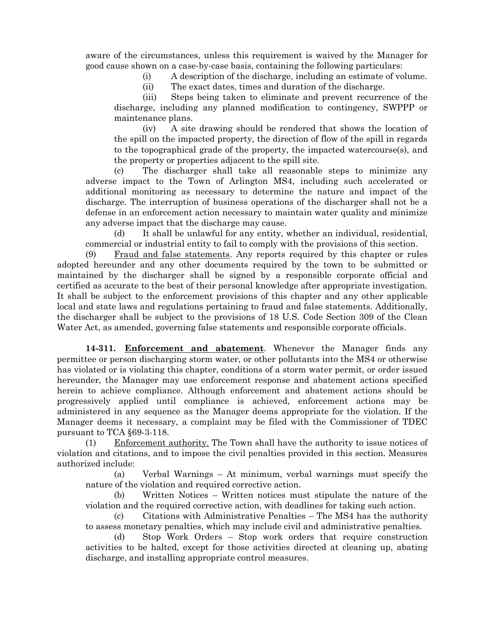aware of the circumstances, unless this requirement is waived by the Manager for good cause shown on a case-by-case basis, containing the following particulars:

(i) A description of the discharge, including an estimate of volume.

(ii) The exact dates, times and duration of the discharge.

(iii) Steps being taken to eliminate and prevent recurrence of the discharge, including any planned modification to contingency, SWPPP or maintenance plans.

(iv) A site drawing should be rendered that shows the location of the spill on the impacted property, the direction of flow of the spill in regards to the topographical grade of the property, the impacted watercourse(s), and the property or properties adjacent to the spill site.

(c) The discharger shall take all reasonable steps to minimize any adverse impact to the Town of Arlington MS4, including such accelerated or additional monitoring as necessary to determine the nature and impact of the discharge. The interruption of business operations of the discharger shall not be a defense in an enforcement action necessary to maintain water quality and minimize any adverse impact that the discharge may cause.

(d) It shall be unlawful for any entity, whether an individual, residential, commercial or industrial entity to fail to comply with the provisions of this section.

(9) Fraud and false statements. Any reports required by this chapter or rules adopted hereunder and any other documents required by the town to be submitted or maintained by the discharger shall be signed by a responsible corporate official and certified as accurate to the best of their personal knowledge after appropriate investigation. It shall be subject to the enforcement provisions of this chapter and any other applicable local and state laws and regulations pertaining to fraud and false statements. Additionally, the discharger shall be subject to the provisions of 18 U.S. Code Section 309 of the Clean Water Act, as amended, governing false statements and responsible corporate officials.

**14-311. Enforcement and abatement**. Whenever the Manager finds any permittee or person discharging storm water, or other pollutants into the MS4 or otherwise has violated or is violating this chapter, conditions of a storm water permit, or order issued hereunder, the Manager may use enforcement response and abatement actions specified herein to achieve compliance. Although enforcement and abatement actions should be progressively applied until compliance is achieved, enforcement actions may be administered in any sequence as the Manager deems appropriate for the violation. If the Manager deems it necessary, a complaint may be filed with the Commissioner of TDEC pursuant to TCA §69-3-118.

(1) Enforcement authority. The Town shall have the authority to issue notices of violation and citations, and to impose the civil penalties provided in this section. Measures authorized include:

(a) Verbal Warnings – At minimum, verbal warnings must specify the nature of the violation and required corrective action.

(b) Written Notices – Written notices must stipulate the nature of the violation and the required corrective action, with deadlines for taking such action.

(c) Citations with Administrative Penalties – The MS4 has the authority to assess monetary penalties, which may include civil and administrative penalties.

(d) Stop Work Orders – Stop work orders that require construction activities to be halted, except for those activities directed at cleaning up, abating discharge, and installing appropriate control measures.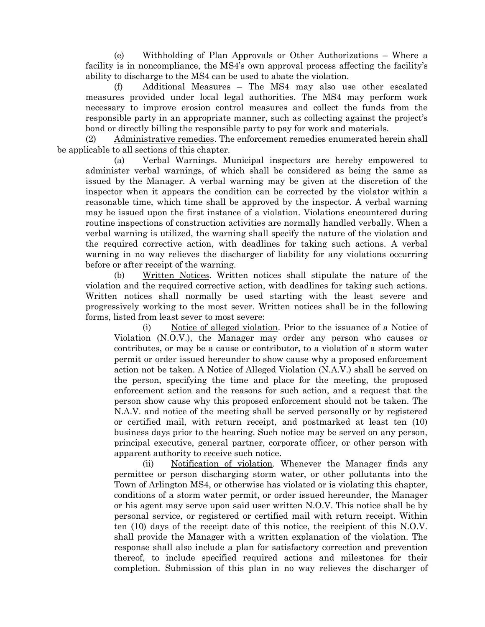(e) Withholding of Plan Approvals or Other Authorizations – Where a facility is in noncompliance, the MS4's own approval process affecting the facility's ability to discharge to the MS4 can be used to abate the violation.

(f) Additional Measures – The MS4 may also use other escalated measures provided under local legal authorities. The MS4 may perform work necessary to improve erosion control measures and collect the funds from the responsible party in an appropriate manner, such as collecting against the project's bond or directly billing the responsible party to pay for work and materials.

(2) Administrative remedies. The enforcement remedies enumerated herein shall be applicable to all sections of this chapter.

(a) Verbal Warnings. Municipal inspectors are hereby empowered to administer verbal warnings, of which shall be considered as being the same as issued by the Manager. A verbal warning may be given at the discretion of the inspector when it appears the condition can be corrected by the violator within a reasonable time, which time shall be approved by the inspector. A verbal warning may be issued upon the first instance of a violation. Violations encountered during routine inspections of construction activities are normally handled verbally. When a verbal warning is utilized, the warning shall specify the nature of the violation and the required corrective action, with deadlines for taking such actions. A verbal warning in no way relieves the discharger of liability for any violations occurring before or after receipt of the warning.

(b) Written Notices. Written notices shall stipulate the nature of the violation and the required corrective action, with deadlines for taking such actions. Written notices shall normally be used starting with the least severe and progressively working to the most sever. Written notices shall be in the following forms, listed from least sever to most severe:

(i) Notice of alleged violation. Prior to the issuance of a Notice of Violation (N.O.V.), the Manager may order any person who causes or contributes, or may be a cause or contributor, to a violation of a storm water permit or order issued hereunder to show cause why a proposed enforcement action not be taken. A Notice of Alleged Violation (N.A.V.) shall be served on the person, specifying the time and place for the meeting, the proposed enforcement action and the reasons for such action, and a request that the person show cause why this proposed enforcement should not be taken. The N.A.V. and notice of the meeting shall be served personally or by registered or certified mail, with return receipt, and postmarked at least ten (10) business days prior to the hearing. Such notice may be served on any person, principal executive, general partner, corporate officer, or other person with apparent authority to receive such notice.

(ii) Notification of violation. Whenever the Manager finds any permittee or person discharging storm water, or other pollutants into the Town of Arlington MS4, or otherwise has violated or is violating this chapter, conditions of a storm water permit, or order issued hereunder, the Manager or his agent may serve upon said user written N.O.V. This notice shall be by personal service, or registered or certified mail with return receipt. Within ten (10) days of the receipt date of this notice, the recipient of this N.O.V. shall provide the Manager with a written explanation of the violation. The response shall also include a plan for satisfactory correction and prevention thereof, to include specified required actions and milestones for their completion. Submission of this plan in no way relieves the discharger of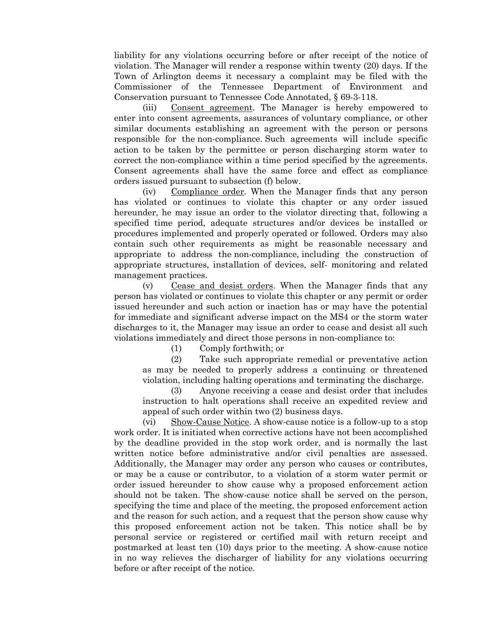liability for any violations occurring before or after receipt of the notice of violation. The Manager will render a response within twenty (20) days. If the Town of Arlington deems it necessary a complaint may be filed with the Commissioner of the Tennessee Department of Environment and Conservation pursuant to Tennessee Code Annotated, § 69-3-118.

(iii) Consent agreement. The Manager is hereby empowered to enter into consent agreements, assurances of voluntary compliance, or other similar documents establishing an agreement with the person or persons responsible for the non-compliance. Such agreements will include specific action to be taken by the permittee or person discharging storm water to correct the non-compliance within a time period specified by the agreements. Consent agreements shall have the same force and effect as compliance orders issued pursuant to subsection (f) below.

(iv) Compliance order. When the Manager finds that any person has violated or continues to violate this chapter or any order issued hereunder, he may issue an order to the violator directing that, following a specified time period, adequate structures and/or devices be installed or procedures implemented and properly operated or followed. Orders may also contain such other requirements as might be reasonable necessary and appropriate to address the non-compliance, including the construction of appropriate structures, installation of devices, self- monitoring and related management practices.

(v) Cease and desist orders. When the Manager finds that any person has violated or continues to violate this chapter or any permit or order issued hereunder and such action or inaction has or may have the potential for immediate and significant adverse impact on the MS4 or the storm water discharges to it, the Manager may issue an order to cease and desist all such violations immediately and direct those persons in non-compliance to:

(1) Comply forthwith; or

(2) Take such appropriate remedial or preventative action as may be needed to properly address a continuing or threatened violation, including halting operations and terminating the discharge.

(3) Anyone receiving a cease and desist order that includes instruction to halt operations shall receive an expedited review and appeal of such order within two (2) business days.

(vi) Show-Cause Notice. A show-cause notice is a follow-up to a stop work order. It is initiated when corrective actions have not been accomplished by the deadline provided in the stop work order, and is normally the last written notice before administrative and/or civil penalties are assessed. Additionally, the Manager may order any person who causes or contributes, or may be a cause or contributor, to a violation of a storm water permit or order issued hereunder to show cause why a proposed enforcement action should not be taken. The show-cause notice shall be served on the person, specifying the time and place of the meeting, the proposed enforcement action and the reason for such action, and a request that the person show cause why this proposed enforcement action not be taken. This notice shall be by personal service or registered or certified mail with return receipt and postmarked at least ten (10) days prior to the meeting. A show-cause notice in no way relieves the discharger of liability for any violations occurring before or after receipt of the notice.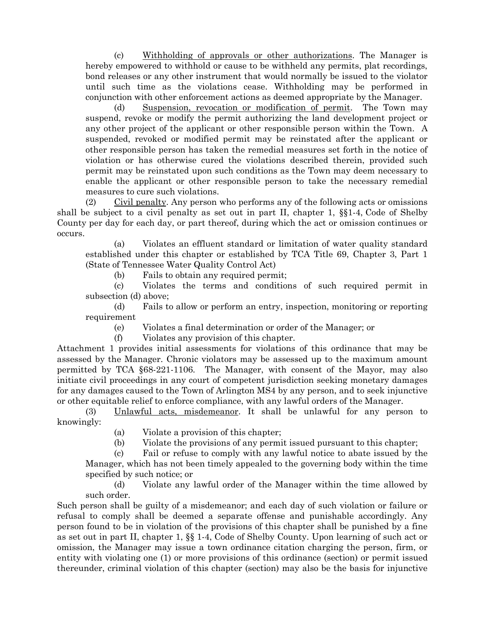(c) Withholding of approvals or other authorizations. The Manager is hereby empowered to withhold or cause to be withheld any permits, plat recordings, bond releases or any other instrument that would normally be issued to the violator until such time as the violations cease. Withholding may be performed in conjunction with other enforcement actions as deemed appropriate by the Manager.

(d) Suspension, revocation or modification of permit. The Town may suspend, revoke or modify the permit authorizing the land development project or any other project of the applicant or other responsible person within the Town. A suspended, revoked or modified permit may be reinstated after the applicant or other responsible person has taken the remedial measures set forth in the notice of violation or has otherwise cured the violations described therein, provided such permit may be reinstated upon such conditions as the Town may deem necessary to enable the applicant or other responsible person to take the necessary remedial measures to cure such violations.

(2) Civil penalty. Any person who performs any of the following acts or omissions shall be subject to a civil penalty as set out in part II, chapter 1, §§1-4, Code of Shelby County per day for each day, or part thereof, during which the act or omission continues or occurs.

(a) Violates an effluent standard or limitation of water quality standard established under this chapter or established by TCA Title 69, Chapter 3, Part 1 (State of Tennessee Water Quality Control Act)

(b) Fails to obtain any required permit;

(c) Violates the terms and conditions of such required permit in subsection (d) above;

(d) Fails to allow or perform an entry, inspection, monitoring or reporting requirement

(e) Violates a final determination or order of the Manager; or

(f) Violates any provision of this chapter.

Attachment 1 provides initial assessments for violations of this ordinance that may be assessed by the Manager. Chronic violators may be assessed up to the maximum amount permitted by TCA §68-221-1106. The Manager, with consent of the Mayor, may also initiate civil proceedings in any court of competent jurisdiction seeking monetary damages for any damages caused to the Town of Arlington MS4 by any person, and to seek injunctive or other equitable relief to enforce compliance, with any lawful orders of the Manager.

(3) Unlawful acts, misdemeanor. It shall be unlawful for any person to knowingly:

(a) Violate a provision of this chapter;

(b) Violate the provisions of any permit issued pursuant to this chapter;

(c) Fail or refuse to comply with any lawful notice to abate issued by the Manager, which has not been timely appealed to the governing body within the time specified by such notice; or

(d) Violate any lawful order of the Manager within the time allowed by such order.

Such person shall be guilty of a misdemeanor; and each day of such violation or failure or refusal to comply shall be deemed a separate offense and punishable accordingly. Any person found to be in violation of the provisions of this chapter shall be punished by a fine as set out in part II, chapter 1, §§ 1-4, Code of Shelby County. Upon learning of such act or omission, the Manager may issue a town ordinance citation charging the person, firm, or entity with violating one (1) or more provisions of this ordinance (section) or permit issued thereunder, criminal violation of this chapter (section) may also be the basis for injunctive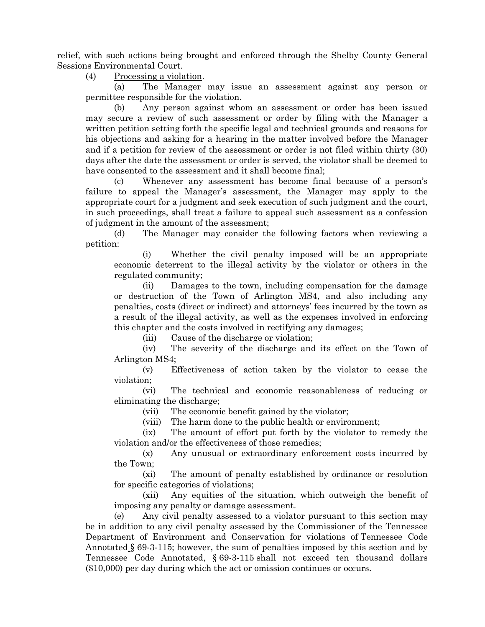relief, with such actions being brought and enforced through the Shelby County General Sessions Environmental Court.

(4) Processing a violation.

(a) The Manager may issue an assessment against any person or permittee responsible for the violation.

(b) Any person against whom an assessment or order has been issued may secure a review of such assessment or order by filing with the Manager a written petition setting forth the specific legal and technical grounds and reasons for his objections and asking for a hearing in the matter involved before the Manager and if a petition for review of the assessment or order is not filed within thirty (30) days after the date the assessment or order is served, the violator shall be deemed to have consented to the assessment and it shall become final;

(c) Whenever any assessment has become final because of a person's failure to appeal the Manager's assessment, the Manager may apply to the appropriate court for a judgment and seek execution of such judgment and the court, in such proceedings, shall treat a failure to appeal such assessment as a confession of judgment in the amount of the assessment;

(d) The Manager may consider the following factors when reviewing a petition:

(i) Whether the civil penalty imposed will be an appropriate economic deterrent to the illegal activity by the violator or others in the regulated community;

(ii) Damages to the town, including compensation for the damage or destruction of the Town of Arlington MS4, and also including any penalties, costs (direct or indirect) and attorneys' fees incurred by the town as a result of the illegal activity, as well as the expenses involved in enforcing this chapter and the costs involved in rectifying any damages;

(iii) Cause of the discharge or violation;

(iv) The severity of the discharge and its effect on the Town of Arlington MS4;

(v) Effectiveness of action taken by the violator to cease the violation;

(vi) The technical and economic reasonableness of reducing or eliminating the discharge;

(vii) The economic benefit gained by the violator;

(viii) The harm done to the public health or environment;

(ix) The amount of effort put forth by the violator to remedy the violation and/or the effectiveness of those remedies;

(x) Any unusual or extraordinary enforcement costs incurred by the Town;

(xi) The amount of penalty established by ordinance or resolution for specific categories of violations;

(xii) Any equities of the situation, which outweigh the benefit of imposing any penalty or damage assessment.

(e) Any civil penalty assessed to a violator pursuant to this section may be in addition to any civil penalty assessed by the Commissioner of the Tennessee Department of Environment and Conservation for violations of Tennessee Code Annotated § 69-3-115; however, the sum of penalties imposed by this section and by Tennessee Code Annotated, § 69-3-115 shall not exceed ten thousand dollars (\$10,000) per day during which the act or omission continues or occurs.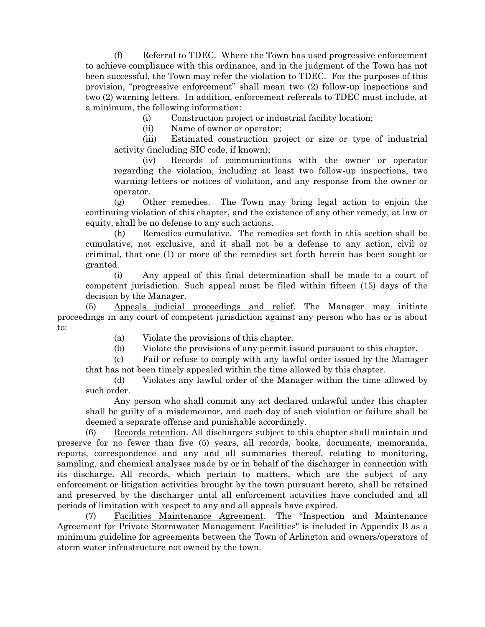(f) Referral to TDEC. Where the Town has used progressive enforcement to achieve compliance with this ordinance, and in the judgment of the Town has not been successful, the Town may refer the violation to TDEC. For the purposes of this provision, "progressive enforcement" shall mean two (2) follow-up inspections and two (2) warning letters. In addition, enforcement referrals to TDEC must include, at a minimum, the following information:

(i) Construction project or industrial facility location;

(ii) Name of owner or operator;

(iii) Estimated construction project or size or type of industrial activity (including SIC code, if known);

(iv) Records of communications with the owner or operator regarding the violation, including at least two follow-up inspections, two warning letters or notices of violation, and any response from the owner or operator.

(g) Other remedies. The Town may bring legal action to enjoin the continuing violation of this chapter, and the existence of any other remedy, at law or equity, shall be no defense to any such actions.

(h) Remedies cumulative. The remedies set forth in this section shall be cumulative, not exclusive, and it shall not be a defense to any action, civil or criminal, that one (1) or more of the remedies set forth herein has been sought or granted.

(i) Any appeal of this final determination shall be made to a court of competent jurisdiction. Such appeal must be filed within fifteen (15) days of the decision by the Manager.

(5) Appeals judicial proceedings and relief. The Manager may initiate proceedings in any court of competent jurisdiction against any person who has or is about to:

(a) Violate the provisions of this chapter.

(b) Violate the provisions of any permit issued pursuant to this chapter.

(c) Fail or refuse to comply with any lawful order issued by the Manager that has not been timely appealed within the time allowed by this chapter.

(d) Violates any lawful order of the Manager within the time allowed by such order.

Any person who shall commit any act declared unlawful under this chapter shall be guilty of a misdemeanor, and each day of such violation or failure shall be deemed a separate offense and punishable accordingly.

(6) Records retention. All dischargers subject to this chapter shall maintain and preserve for no fewer than five (5) years, all records, books, documents, memoranda, reports, correspondence and any and all summaries thereof, relating to monitoring, sampling, and chemical analyses made by or in behalf of the discharger in connection with its discharge. All records, which pertain to matters, which are the subject of any enforcement or litigation activities brought by the town pursuant hereto, shall be retained and preserved by the discharger until all enforcement activities have concluded and all periods of limitation with respect to any and all appeals have expired.

(7) Facilities Maintenance Agreement. The "Inspection and Maintenance Agreement for Private Stormwater Management Facilities" is included in Appendix B as a minimum guideline for agreements between the Town of Arlington and owners/operators of storm water infrastructure not owned by the town.